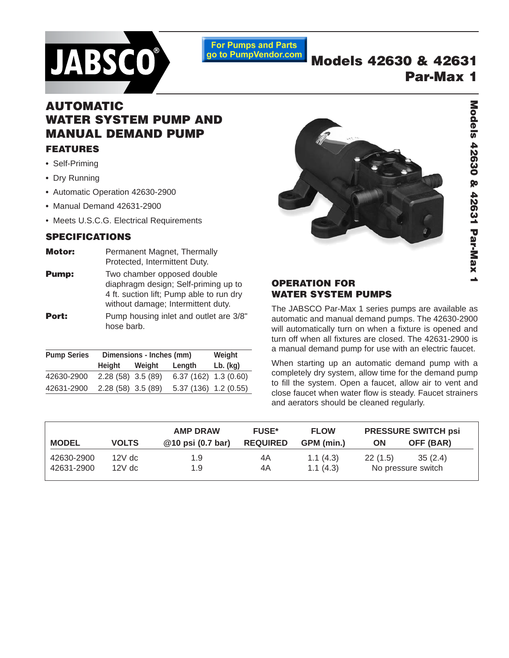

**For Pumps and Parts** go to PumpVendor.com

# **Models 42630 & 42631 Par-Max 1**

# **AUTOMATIC WATER SYSTEM PUMP AND MANUAL DEMAND PUMP FEATURES**

- **•** Self-Priming
- **•** Dry Running
- **•** Automatic Operation 42630-2900
- **•** Manual Demand 42631-2900
- Meets U.S.C.G. Electrical Requirements

#### **SPECIFICATIONS**

- **Motor:** Permanent Magnet, Thermally Protected, Intermittent Duty.
- **Pump:** Two chamber opposed double diaphragm design; Self-priming up to 4 ft. suction lift; Pump able to run dry without damage; Intermittent duty. **Port:** Pump housing inlet and outlet are 3/8" hose barb.

| <b>Pump Series</b> | Dimensions - Inches (mm) |        |                          | Weight     |
|--------------------|--------------------------|--------|--------------------------|------------|
|                    | Height                   | Weight | Length                   | $Lb.$ (kg) |
| 42630-2900         | $2.28(58)$ 3.5 (89)      |        | $6.37(162)$ 1.3 $(0.60)$ |            |
| 42631-2900         | $2.28(58)$ 3.5 (89)      |        | 5.37 (136) 1.2 (0.55)    |            |



# Models 42630 & 42631 Par-Max 1 **Models 42630 & 42631 Par-Max 1**

### **OPERATION FOR WATER SYSTEM PUMPS**

The JABSCO Par-Max 1 series pumps are available as automatic and manual demand pumps. The 42630-2900 will automatically turn on when a fixture is opened and turn off when all fixtures are closed. The 42631-2900 is a manual demand pump for use with an electric faucet.

When starting up an automatic demand pump with a completely dry system, allow time for the demand pump to fill the system. Open a faucet, allow air to vent and close faucet when water flow is steady. Faucet strainers and aerators should be cleaned regularly.

|              |              | <b>AMP DRAW</b>   | <b>FUSE*</b>    | <b>FLOW</b> | <b>PRESSURE SWITCH psi</b> |                    |
|--------------|--------------|-------------------|-----------------|-------------|----------------------------|--------------------|
| <b>MODEL</b> | <b>VOLTS</b> | @10 psi (0.7 bar) | <b>REQUIRED</b> | GPM (min.)  | ΟN                         | OFF (BAR)          |
| 42630-2900   | $12V$ dc     | 1.9               | 4A              | 1.1(4.3)    | 22(1.5)                    | 35(2.4)            |
| 42631-2900   | $12V$ dc     | 1.9               | 4A              | 1.1(4.3)    |                            | No pressure switch |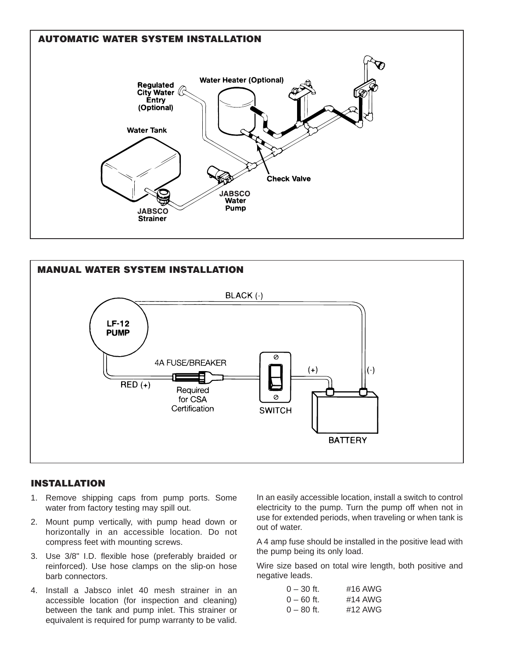



#### **INSTALLATION**

- 1. Remove shipping caps from pump ports. Some water from factory testing may spill out.
- 2. Mount pump vertically, with pump head down or horizontally in an accessible location. Do not compress feet with mounting screws.
- 3. Use 3/8" I.D. flexible hose (preferably braided or reinforced). Use hose clamps on the slip-on hose barb connectors.
- 4. Install a Jabsco inlet 40 mesh strainer in an accessible location (for inspection and cleaning) between the tank and pump inlet. This strainer or equivalent is required for pump warranty to be valid.

In an easily accessible location, install a switch to control electricity to the pump. Turn the pump off when not in use for extended periods, when traveling or when tank is out of water.

A 4 amp fuse should be installed in the positive lead with the pump being its only load.

Wire size based on total wire length, both positive and negative leads.

| $0 - 30$ ft. | #16 AWG |
|--------------|---------|
| $0 - 60$ ft. | #14 AWG |
| $0 - 80$ ft. | #12 AWG |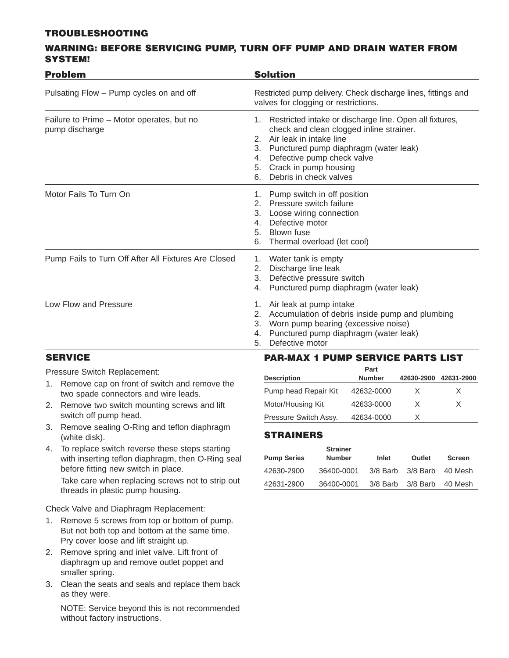#### **TROUBLESHOOTING**

#### **WARNING: BEFORE SERVICING PUMP, TURN OFF PUMP AND DRAIN WATER FROM SYSTEM!**

| <b>Problem</b>                                              | <b>Solution</b>                                                                                                                                                                                                                                                                                       |  |  |  |
|-------------------------------------------------------------|-------------------------------------------------------------------------------------------------------------------------------------------------------------------------------------------------------------------------------------------------------------------------------------------------------|--|--|--|
| Pulsating Flow - Pump cycles on and off                     | Restricted pump delivery. Check discharge lines, fittings and<br>valves for clogging or restrictions.                                                                                                                                                                                                 |  |  |  |
| Failure to Prime - Motor operates, but no<br>pump discharge | Restricted intake or discharge line. Open all fixtures,<br>1.<br>check and clean clogged inline strainer.<br>Air leak in intake line<br>2 <sup>1</sup><br>3. Punctured pump diaphragm (water leak)<br>Defective pump check valve<br>4.<br>Crack in pump housing<br>5.<br>Debris in check valves<br>6. |  |  |  |
| Motor Fails To Turn On                                      | Pump switch in off position<br>1.<br>Pressure switch failure<br>2.<br>Loose wiring connection<br>3.<br>Defective motor<br>4.<br>Blown fuse<br>5.<br>Thermal overload (let cool)<br>6.                                                                                                                 |  |  |  |
| Pump Fails to Turn Off After All Fixtures Are Closed        | 1. Water tank is empty<br>Discharge line leak<br>2.<br>Defective pressure switch<br>3.<br>Punctured pump diaphragm (water leak)<br>4.                                                                                                                                                                 |  |  |  |
| Low Flow and Pressure                                       | Air leak at pump intake<br>1.<br>Accumulation of debris inside pump and plumbing<br>2.<br>3. Worn pump bearing (excessive noise)<br>Punctured pump diaphragm (water leak)<br>4.<br>Defective motor<br>5.                                                                                              |  |  |  |

## **SERVICE**

Pressure Switch Replacement:

- 1. Remove cap on front of switch and remove the two spade connectors and wire leads.
- 2. Remove two switch mounting screws and lift switch off pump head.
- 3. Remove sealing O-Ring and teflon diaphragm (white disk).
- 4. To replace switch reverse these steps starting with inserting teflon diaphragm, then O-Ring seal before fitting new switch in place.

Take care when replacing screws not to strip out threads in plastic pump housing.

Check Valve and Diaphragm Replacement:

- 1. Remove 5 screws from top or bottom of pump. But not both top and bottom at the same time. Pry cover loose and lift straight up.
- 2. Remove spring and inlet valve. Lift front of diaphragm up and remove outlet poppet and smaller spring.
- 3. Clean the seats and seals and replace them back as they were.

NOTE: Service beyond this is not recommended without factory instructions.

## **PAR-MAX 1 PUMP SERVICE PARTS LIST**

| Part                  |               |            |            |  |
|-----------------------|---------------|------------|------------|--|
| <b>Description</b>    | <b>Number</b> | 42630-2900 | 42631-2900 |  |
| Pump head Repair Kit  | 42632-0000    | x.         | x          |  |
| Motor/Housing Kit     | 42633-0000    | X.         | x          |  |
| Pressure Switch Assy. | 42634-0000    | x          |            |  |

## **STRAINERS**

|                    | <b>Strainer</b> |            |          |               |
|--------------------|-----------------|------------|----------|---------------|
| <b>Pump Series</b> | <b>Number</b>   | Inlet      | Outlet   | <b>Screen</b> |
| 42630-2900         | 36400-0001      | $3/8$ Barb | 3/8 Barb | -40 Mesh      |
| 42631-2900         | 36400-0001      | $3/8$ Barb | 3/8 Barb | 40 Mesh       |